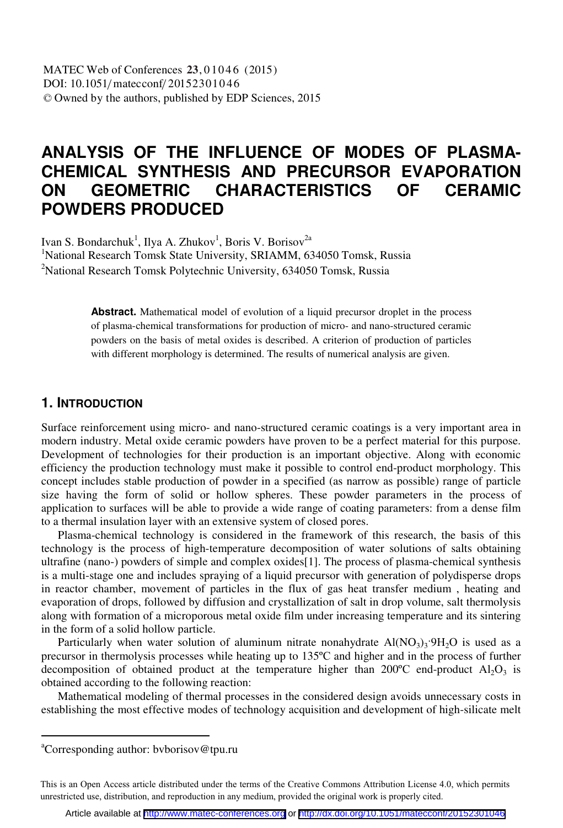# **ANALYSIS OF THE INFLUENCE OF MODES OF PLASMA-CHEMICAL SYNTHESIS AND PRECURSOR EVAPORATION ON GEOMETRIC CHARACTERISTICS OF CERAMIC POWDERS PRODUCED**

Ivan S. Bondarchuk<sup>1</sup>, Ilya A. Zhukov<sup>1</sup>, Boris V. Borisov<sup>2a</sup> <sup>1</sup>National Research Tomsk State University, SRIAMM, 634050 Tomsk, Russia <sup>2</sup>National Research Tomsk Polytechnic University, 634050 Tomsk, Russia

> **Abstract.** Mathematical model of evolution of a liquid precursor droplet in the process of plasma-chemical transformations for production of micro- and nano-structured ceramic powders on the basis of metal oxides is described. A criterion of production of particles with different morphology is determined. The results of numerical analysis are given.

### **1. INTRODUCTION**

Surface reinforcement using micro- and nano-structured ceramic coatings is a very important area in modern industry. Metal oxide ceramic powders have proven to be a perfect material for this purpose. Development of technologies for their production is an important objective. Along with economic efficiency the production technology must make it possible to control end-product morphology. This concept includes stable production of powder in a specified (as narrow as possible) range of particle size having the form of solid or hollow spheres. These powder parameters in the process of application to surfaces will be able to provide a wide range of coating parameters: from a dense film to a thermal insulation layer with an extensive system of closed pores.

Plasma-chemical technology is considered in the framework of this research, the basis of this technology is the process of high-temperature decomposition of water solutions of salts obtaining ultrafine (nano-) powders of simple and complex oxides[1]. The process of plasma-chemical synthesis is a multi-stage one and includes spraying of a liquid precursor with generation of polydisperse drops in reactor chamber, movement of particles in the flux of gas heat transfer medium , heating and evaporation of drops, followed by diffusion and crystallization of salt in drop volume, salt thermolysis along with formation of a microporous metal oxide film under increasing temperature and its sintering in the form of a solid hollow particle.

Particularly when water solution of aluminum nitrate nonahydrate  $\text{Al}(\text{NO}_3)_3 \cdot 9\text{H}_2\text{O}$  is used as a precursor in thermolysis processes while heating up to 135°C and higher and in the process of further decomposition of obtained product at the temperature higher than  $200^{\circ}$ C end-product Al<sub>2</sub>O<sub>3</sub> is obtained according to the following reaction:

Mathematical modeling of thermal processes in the considered design avoids unnecessary costs in establishing the most effective modes of technology acquisition and development of high-silicate melt

a Corresponding author: bvborisov@tpu.ru

This is an Open Access article distributed under the terms of the Creative Commons Attribution License 4.0, which permits unrestricted use, distribution, and reproduction in any medium, provided the original work is properly cited.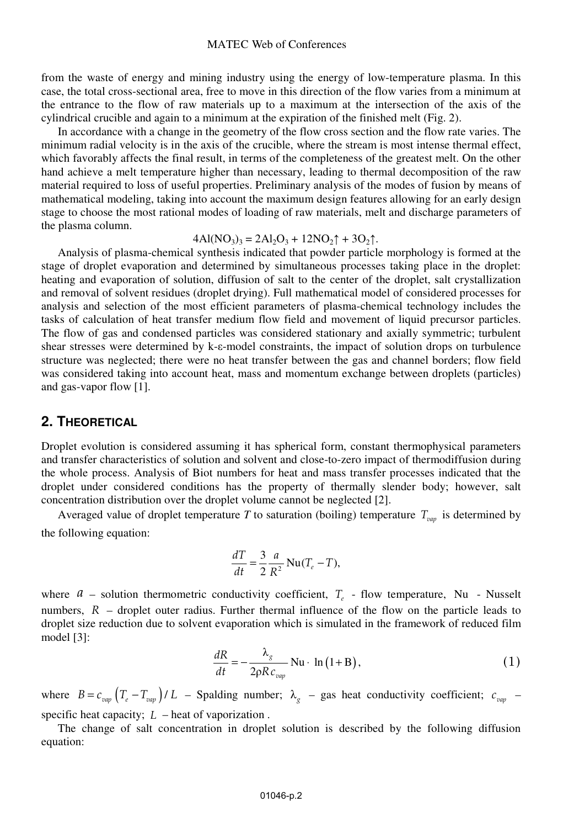from the waste of energy and mining industry using the energy of low-temperature plasma. In this case, the total cross-sectional area, free to move in this direction of the flow varies from a minimum at the entrance to the flow of raw materials up to a maximum at the intersection of the axis of the cylindrical crucible and again to a minimum at the expiration of the finished melt (Fig. 2).

In accordance with a change in the geometry of the flow cross section and the flow rate varies. The minimum radial velocity is in the axis of the crucible, where the stream is most intense thermal effect, which favorably affects the final result, in terms of the completeness of the greatest melt. On the other hand achieve a melt temperature higher than necessary, leading to thermal decomposition of the raw material required to loss of useful properties. Preliminary analysis of the modes of fusion by means of mathematical modeling, taking into account the maximum design features allowing for an early design stage to choose the most rational modes of loading of raw materials, melt and discharge parameters of the plasma column.

$$
4Al(NO3)3 = 2Al2O3 + 12NO2† + 3O2†.
$$

Analysis of plasma-chemical synthesis indicated that powder particle morphology is formed at the stage of droplet evaporation and determined by simultaneous processes taking place in the droplet: heating and evaporation of solution, diffusion of salt to the center of the droplet, salt crystallization and removal of solvent residues (droplet drying). Full mathematical model of considered processes for analysis and selection of the most efficient parameters of plasma-chemical technology includes the tasks of calculation of heat transfer medium flow field and movement of liquid precursor particles. The flow of gas and condensed particles was considered stationary and axially symmetric; turbulent shear stresses were determined by  $k-\epsilon$ -model constraints, the impact of solution drops on turbulence structure was neglected; there were no heat transfer between the gas and channel borders; flow field was considered taking into account heat, mass and momentum exchange between droplets (particles) and gas-vapor flow [1].

### **2. THEORETICAL**

Droplet evolution is considered assuming it has spherical form, constant thermophysical parameters and transfer characteristics of solution and solvent and close-to-zero impact of thermodiffusion during the whole process. Analysis of Biot numbers for heat and mass transfer processes indicated that the droplet under considered conditions has the property of thermally slender body; however, salt concentration distribution over the droplet volume cannot be neglected [2].

Averaged value of droplet temperature T to saturation (boiling) temperature  $T_{\text{var}}$  is determined by the following equation:

$$
\frac{dT}{dt} = \frac{3}{2} \frac{a}{R^2} \text{Nu}(T_e - T),
$$

where  $a$  – solution thermometric conductivity coefficient,  $T_e$  - flow temperature, Nu - Nusselt numbers,  $\overline{R}$  – droplet outer radius. Further thermal influence of the flow on the particle leads to droplet size reduction due to solvent evaporation which is simulated in the framework of reduced film model [3]:

$$
\frac{dR}{dt} = -\frac{\lambda_g}{2\rho R c_{vav}} \text{Nu} \cdot \ln(1+\text{B}),\tag{1}
$$

where  $B = c_{vap} (T_e - T_{vap}) / L$  – Spalding number;  $\lambda_g$  – gas heat conductivity coefficient;  $c_{vap}$  – specific heat capacity;  $L$  – heat of vaporization.

The change of salt concentration in droplet solution is described by the following diffusion equation: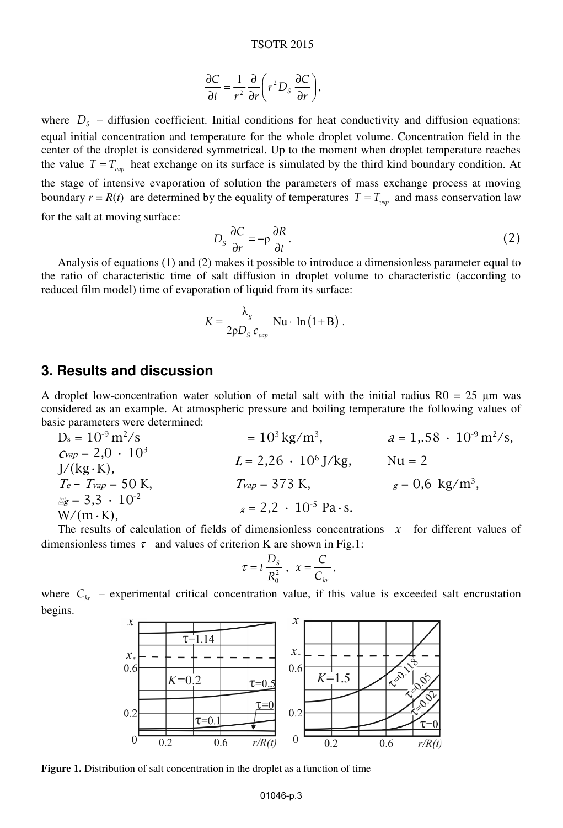#### TSOTR 2015

$$
\frac{\partial C}{\partial t} = \frac{1}{r^2} \frac{\partial}{\partial r} \left( r^2 D_s \frac{\partial C}{\partial r} \right),
$$

where  $D_s$  – diffusion coefficient. Initial conditions for heat conductivity and diffusion equations: equal initial concentration and temperature for the whole droplet volume. Concentration field in the center of the droplet is considered symmetrical. Up to the moment when droplet temperature reaches the value  $T = T_{vav}$  heat exchange on its surface is simulated by the third kind boundary condition. At the stage of intensive evaporation of solution the parameters of mass exchange process at moving boundary  $r = R(t)$  are determined by the equality of temperatures  $T = T_{vav}$  and mass conservation law for the salt at moving surface:

$$
D_s \frac{\partial C}{\partial r} = -\rho \frac{\partial R}{\partial t}.
$$
 (2)

Analysis of equations (1) and (2) makes it possible to introduce a dimensionless parameter equal to the ratio of characteristic time of salt diffusion in droplet volume to characteristic (according to reduced film model) time of evaporation of liquid from its surface:

$$
K = \frac{\lambda_g}{2\rho D_s c_{vap}} Nu \cdot ln(1+B).
$$

#### **3. Results and discussion**

A droplet low-concentration water solution of metal salt with the initial radius  $R0 = 25 \mu m$  was considered as an example. At atmospheric pressure and boiling temperature the following values of basic parameters were determined:

| $D_s = 10^{3} \text{ m}^2/\text{s}$                                                                                                                           | $= 10^{3} \text{ kg/m}^3$ , $a = 1,58 \cdot 10^{3} \text{ m}^2/\text{s}$ , $c_{vap} = 2,0 \cdot 10^{3}$ | $L = 2,26 \cdot 10^{6} \text{ J/kg}$ , $Nu = 2$ |
|---------------------------------------------------------------------------------------------------------------------------------------------------------------|---------------------------------------------------------------------------------------------------------|-------------------------------------------------|
| $J/(kg \cdot K)$ , $T_e - T_{vap} = 50 \text{ K}$ , $T_{vap} = 373 \text{ K}$ , $g = 0,6 \text{ kg/m}^3$ , $S = 2,2 \cdot 10^{5} \text{ Pa} \cdot \text{s}$ . |                                                                                                         |                                                 |

The results of calculation of fields of dimensionless concentrations  $x$  for different values of dimensionless times  $\tau$  and values of criterion K are shown in Fig.1:

$$
\tau = t \, \frac{D_s}{R_0^2} \, , \quad x = \frac{C}{C_{kr}} \, ,
$$

where  $C_{k_r}$  – experimental critical concentration value, if this value is exceeded salt encrustation begins.



**Figure 1.** Distribution of salt concentration in the droplet as a function of time

#### 01046-p.3